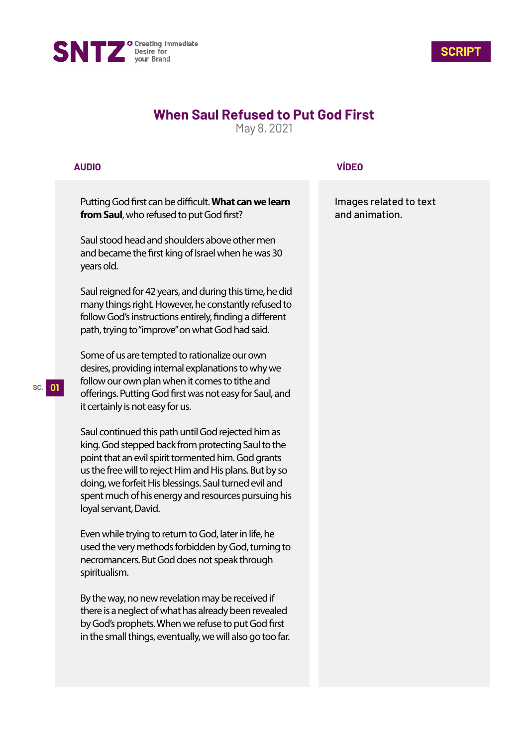



## **When Saul Refused to Put God First**

May 8, 2021

## **AUDIO**

Putting God first can be difficult. What can we learn **from Saul**, who refused to put God first?

Saul stood head and shoulders above other men and became the first king of Israel when he was 30 years old.

Saul reigned for 42 years, and during this time, he did many things right. However, he constantly refused to follow God's instructions entirely, finding a different path, trying to "improve" on what God had said.

Some of us are tempted to rationalize our own desires, providing internal explanations to why we follow our own plan when it comes to tithe and offerings. Putting God first was not easy for Saul, and it certainly is not easy for us.

Saul continued this path until God rejected him as king. God stepped back from protecting Saul to the point that an evil spirit tormented him. God grants us the free will to reject Him and His plans. But by so doing, we forfeit His blessings. Saul turned evil and spent much of his energy and resources pursuing his loyal servant, David.

Even while trying to return to God, later in life, he used the very methods forbidden by God, turning to necromancers. But God does not speak through spiritualism.

By the way, no new revelation may be received if there is a neglect of what has already been revealed by God's prophets. When we refuse to put God first in the small things, eventually, we will also go too far.

## **VÍDEO**

Images related to text and animation.